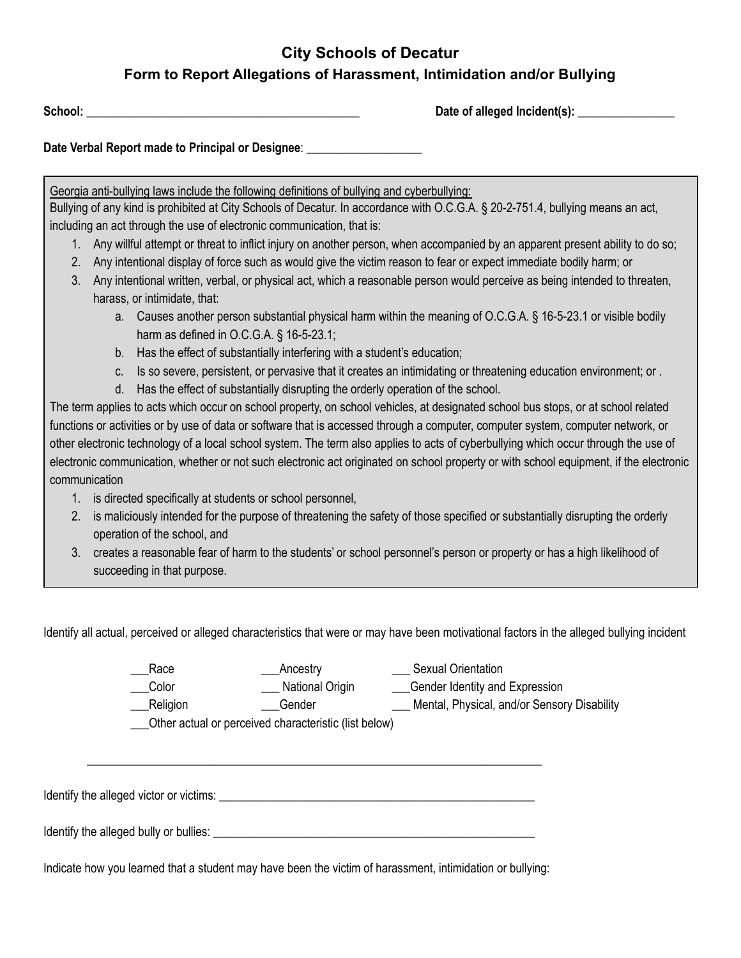## **City Schools of Decatur Form to Report Allegations of Harassment, Intimidation and/or Bullying**

**School:** \_\_\_\_\_\_\_\_\_\_\_\_\_\_\_\_\_\_\_\_\_\_\_\_\_\_\_\_\_\_\_\_\_\_\_\_\_\_\_\_\_\_\_\_\_ **Date of alleged Incident(s):** \_\_\_\_\_\_\_\_\_\_\_\_\_\_\_\_

**Date Verbal Report made to Principal or Designee**: \_\_\_\_\_\_\_\_\_\_\_\_\_\_\_\_\_\_\_

Georgia anti-bullying laws include the following definitions of bullying and cyberbullying:

Bullying of any kind is prohibited at City Schools of Decatur. In accordance with O.C.G.A. § 20-2-751.4, bullying means an act, including an act through the use of electronic communication, that is:

- 1. Any willful attempt or threat to inflict injury on another person, when accompanied by an apparent present ability to do so;
- 2. Any intentional display of force such as would give the victim reason to fear or expect immediate bodily harm; or
- 3. Any intentional written, verbal, or physical act, which a reasonable person would perceive as being intended to threaten, harass, or intimidate, that:
	- a. Causes another person substantial physical harm within the meaning of O.C.G.A. § 16-5-23.1 or visible bodily harm as defined in O.C.G.A. § 16-5-23.1;
	- b. Has the effect of substantially interfering with a student's education;
	- c. Is so severe, persistent, or pervasive that it creates an intimidating or threatening education environment; or .
	- d. Has the effect of substantially disrupting the orderly operation of the school.

The term applies to acts which occur on school property, on school vehicles, at designated school bus stops, or at school related functions or activities or by use of data or software that is accessed through a computer, computer system, computer network, or other electronic technology of a local school system. The term also applies to acts of cyberbullying which occur through the use of electronic communication, whether or not such electronic act originated on school property or with school equipment, if the electronic communication

- 1. is directed specifically at students or school personnel,
- 2. is maliciously intended for the purpose of threatening the safety of those specified or substantially disrupting the orderly operation of the school, and
- 3. creates a reasonable fear of harm to the students' or school personnel's person or property or has a high likelihood of succeeding in that purpose.

Identify all actual, perceived or alleged characteristics that were or may have been motivational factors in the alleged bullying incident

| Race     | Ancestry        | <b>Sexual Orientation</b>                   |
|----------|-----------------|---------------------------------------------|
| Color    | National Origin | Gender Identity and Expression              |
| Religion | Gender          | Mental, Physical, and/or Sensory Disability |

\_\_\_Other actual or perceived characteristic (list below)

Identify the alleged victor or victims: \_\_\_\_\_\_\_\_\_\_\_\_\_\_\_\_\_\_\_\_\_\_\_\_\_\_\_\_\_\_\_\_\_\_\_\_\_\_\_\_\_\_\_\_\_\_\_\_\_\_\_\_

Identify the alleged bully or bullies: \_\_\_\_\_\_\_\_\_\_\_\_\_\_\_\_\_\_\_\_\_\_\_\_\_\_\_\_\_\_\_\_\_\_\_\_\_\_\_\_\_\_\_\_\_\_\_\_\_\_\_\_\_

Indicate how you learned that a student may have been the victim of harassment, intimidation or bullying:

\_\_\_\_\_\_\_\_\_\_\_\_\_\_\_\_\_\_\_\_\_\_\_\_\_\_\_\_\_\_\_\_\_\_\_\_\_\_\_\_\_\_\_\_\_\_\_\_\_\_\_\_\_\_\_\_\_\_\_\_\_\_\_\_\_\_\_\_\_\_\_\_\_\_\_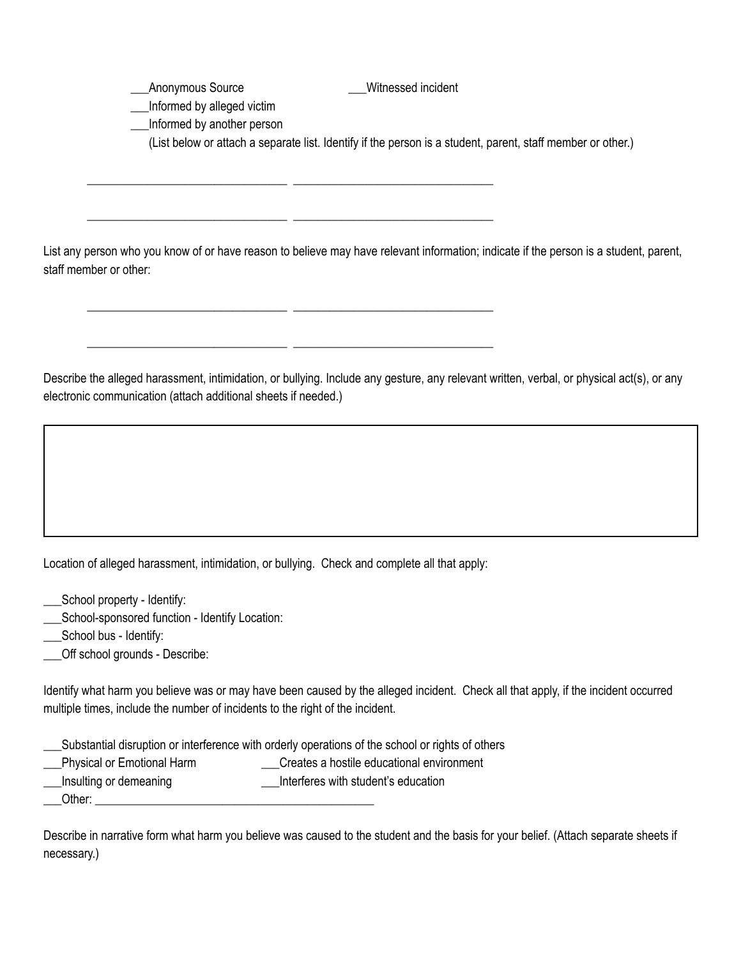Anonymous Source **Exercise Source Setting** Witnessed incident \_\_\_Informed by alleged victim \_\_\_Informed by another person (List below or attach a separate list. Identify if the person is a student, parent, staff member or other.)

List any person who you know of or have reason to believe may have relevant information; indicate if the person is a student, parent, staff member or other:

\_\_\_\_\_\_\_\_\_\_\_\_\_\_\_\_\_\_\_\_\_\_\_\_\_\_\_\_\_\_\_\_\_ \_\_\_\_\_\_\_\_\_\_\_\_\_\_\_\_\_\_\_\_\_\_\_\_\_\_\_\_\_\_\_\_\_

\_\_\_\_\_\_\_\_\_\_\_\_\_\_\_\_\_\_\_\_\_\_\_\_\_\_\_\_\_\_\_\_\_ \_\_\_\_\_\_\_\_\_\_\_\_\_\_\_\_\_\_\_\_\_\_\_\_\_\_\_\_\_\_\_\_\_

\_\_\_\_\_\_\_\_\_\_\_\_\_\_\_\_\_\_\_\_\_\_\_\_\_\_\_\_\_\_\_\_\_ \_\_\_\_\_\_\_\_\_\_\_\_\_\_\_\_\_\_\_\_\_\_\_\_\_\_\_\_\_\_\_\_\_

\_\_\_\_\_\_\_\_\_\_\_\_\_\_\_\_\_\_\_\_\_\_\_\_\_\_\_\_\_\_\_\_\_ \_\_\_\_\_\_\_\_\_\_\_\_\_\_\_\_\_\_\_\_\_\_\_\_\_\_\_\_\_\_\_\_\_

Describe the alleged harassment, intimidation, or bullying. Include any gesture, any relevant written, verbal, or physical act(s), or any electronic communication (attach additional sheets if needed.)

Location of alleged harassment, intimidation, or bullying. Check and complete all that apply:

School property - Identify:

\_\_\_School-sponsored function - Identify Location:

\_\_\_School bus - Identify:

Off school grounds - Describe:

Identify what harm you believe was or may have been caused by the alleged incident. Check all that apply, if the incident occurred multiple times, include the number of incidents to the right of the incident.

\_\_\_Substantial disruption or interference with orderly operations of the school or rights of others

- Lacktriangle physical or Emotional Harm **Matter Contract Creates a hostile educational environment**
- \_\_\_Insulting or demeaning \_\_\_Interferes with student's education

Other:  $\Box$ 

Describe in narrative form what harm you believe was caused to the student and the basis for your belief. (Attach separate sheets if necessary.)